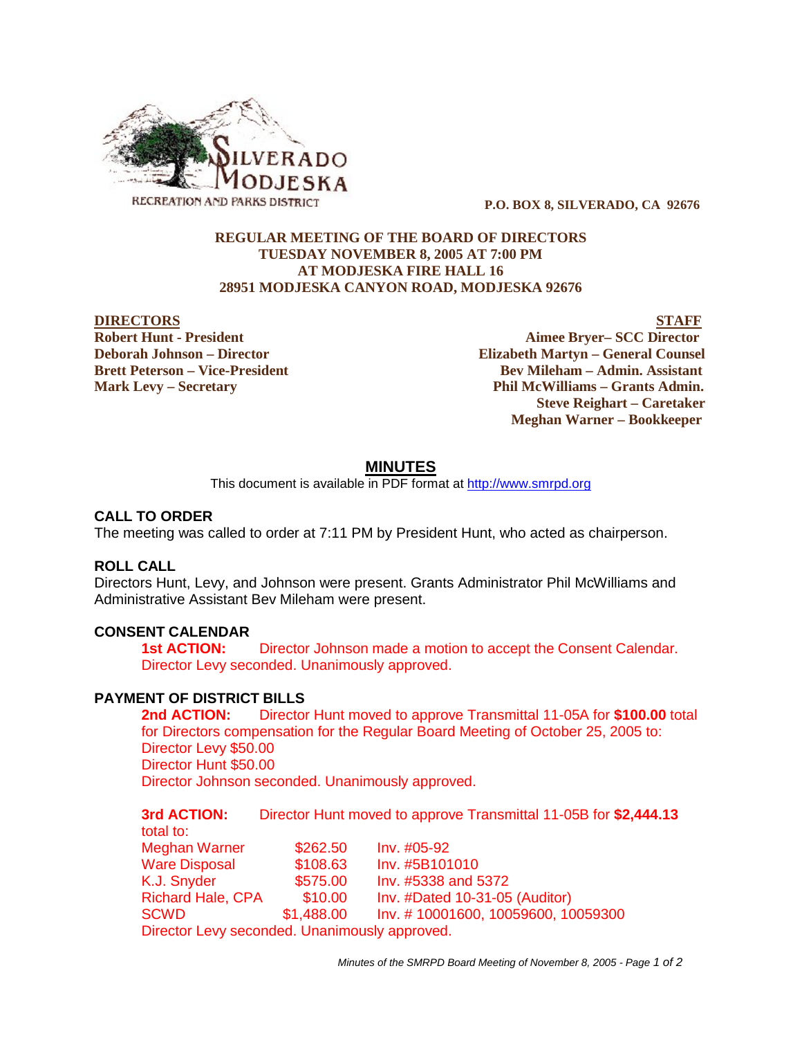

 **P.O. BOX 8, SILVERADO, CA 92676**

## **REGULAR MEETING OF THE BOARD OF DIRECTORS TUESDAY NOVEMBER 8, 2005 AT 7:00 PM AT MODJESKA FIRE HALL 16 28951 MODJESKA CANYON ROAD, MODJESKA 92676**

**DIRECTORS** STAFF **Robert Hunt - President Aimee Bryer– SCC Director Deborah Johnson – Director Elizabeth Martyn – General Counsel Brett Peterson – Vice-President Electronic Serverson – Serverson – Serverson – Admin. Assistant Mark Levy – Secretary Phil McWilliams – Grants Admin. Steve Reighart – Caretaker Meghan Warner – Bookkeeper**

# **MINUTES**

This document is available in PDF format at http://www.smrpd.org

## **CALL TO ORDER**

The meeting was called to order at 7:11 PM by President Hunt, who acted as chairperson.

## **ROLL CALL**

Directors Hunt, Levy, and Johnson were present. Grants Administrator Phil McWilliams and Administrative Assistant Bev Mileham were present.

#### **CONSENT CALENDAR**

**1st ACTION:** Director Johnson made a motion to accept the Consent Calendar. Director Levy seconded. Unanimously approved.

## **PAYMENT OF DISTRICT BILLS**

**2nd ACTION:** Director Hunt moved to approve Transmittal 11-05A for **\$100.00** total for Directors compensation for the Regular Board Meeting of October 25, 2005 to: Director Levy \$50.00 Director Hunt \$50.00 Director Johnson seconded. Unanimously approved.

**3rd ACTION:** Director Hunt moved to approve Transmittal 11-05B for **\$2,444.13** total to: Meghan Warner \$262.50 Inv. #05-92 Ware Disposal \$108.63 Inv. #5B101010 K.J. Snyder **\$575.00** Inv. #5338 and 5372 Richard Hale, CPA \$10.00 Inv. #Dated 10-31-05 (Auditor) SCWD \$1,488.00 Inv. # 10001600, 10059600, 10059300 Director Levy seconded. Unanimously approved.